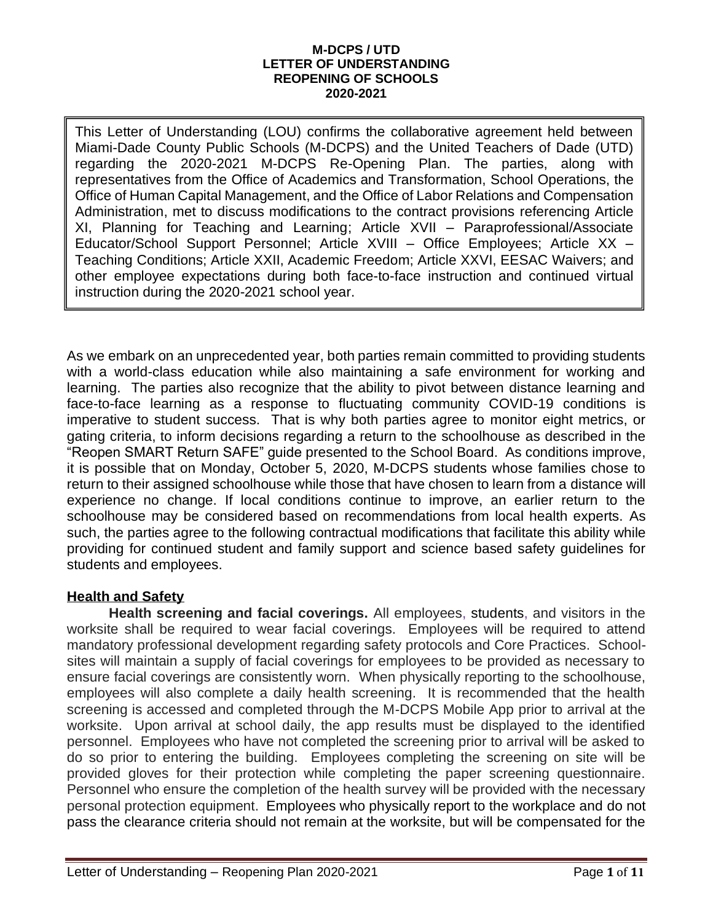#### **M-DCPS / UTD LETTER OF UNDERSTANDING REOPENING OF SCHOOLS 2020-2021**

This Letter of Understanding (LOU) confirms the collaborative agreement held between Miami-Dade County Public Schools (M-DCPS) and the United Teachers of Dade (UTD) regarding the 2020-2021 M-DCPS Re-Opening Plan. The parties, along with representatives from the Office of Academics and Transformation, School Operations, the Office of Human Capital Management, and the Office of Labor Relations and Compensation Administration, met to discuss modifications to the contract provisions referencing Article XI, Planning for Teaching and Learning; Article XVII – Paraprofessional/Associate Educator/School Support Personnel; Article XVIII – Office Employees; Article XX – Teaching Conditions; Article XXII, Academic Freedom; Article XXVI, EESAC Waivers; and other employee expectations during both face-to-face instruction and continued virtual instruction during the 2020-2021 school year.

As we embark on an unprecedented year, both parties remain committed to providing students with a world-class education while also maintaining a safe environment for working and learning. The parties also recognize that the ability to pivot between distance learning and face-to-face learning as a response to fluctuating community COVID-19 conditions is imperative to student success. That is why both parties agree to monitor eight metrics, or gating criteria, to inform decisions regarding a return to the schoolhouse as described in the "Reopen SMART Return SAFE" guide presented to the School Board. As conditions improve, it is possible that on Monday, October 5, 2020, M-DCPS students whose families chose to return to their assigned schoolhouse while those that have chosen to learn from a distance will experience no change. If local conditions continue to improve, an earlier return to the schoolhouse may be considered based on recommendations from local health experts. As such, the parties agree to the following contractual modifications that facilitate this ability while providing for continued student and family support and science based safety guidelines for students and employees.

# **Health and Safety**

**Health screening and facial coverings.** All employees, students, and visitors in the worksite shall be required to wear facial coverings. Employees will be required to attend mandatory professional development regarding safety protocols and Core Practices. Schoolsites will maintain a supply of facial coverings for employees to be provided as necessary to ensure facial coverings are consistently worn. When physically reporting to the schoolhouse, employees will also complete a daily health screening. It is recommended that the health screening is accessed and completed through the M-DCPS Mobile App prior to arrival at the worksite. Upon arrival at school daily, the app results must be displayed to the identified personnel. Employees who have not completed the screening prior to arrival will be asked to do so prior to entering the building. Employees completing the screening on site will be provided gloves for their protection while completing the paper screening questionnaire. Personnel who ensure the completion of the health survey will be provided with the necessary personal protection equipment. Employees who physically report to the workplace and do not pass the clearance criteria should not remain at the worksite, but will be compensated for the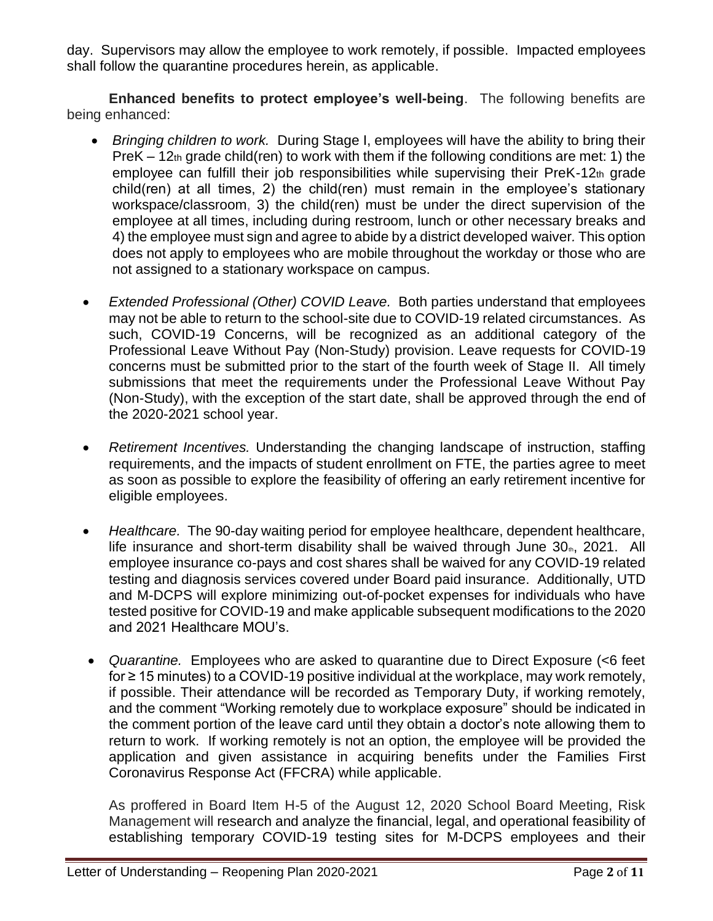day. Supervisors may allow the employee to work remotely, if possible. Impacted employees shall follow the quarantine procedures herein, as applicable.

**Enhanced benefits to protect employee's well-being**. The following benefits are being enhanced:

- *Bringing children to work.* During Stage I, employees will have the ability to bring their PreK – 12th grade child(ren) to work with them if the following conditions are met: 1) the employee can fulfill their job responsibilities while supervising their PreK-12th grade child(ren) at all times, 2) the child(ren) must remain in the employee's stationary workspace/classroom, 3) the child(ren) must be under the direct supervision of the employee at all times, including during restroom, lunch or other necessary breaks and 4) the employee must sign and agree to abide by a district developed waiver*.* This option does not apply to employees who are mobile throughout the workday or those who are not assigned to a stationary workspace on campus.
- *Extended Professional (Other) COVID Leave.* Both parties understand that employees may not be able to return to the school-site due to COVID-19 related circumstances. As such, COVID-19 Concerns, will be recognized as an additional category of the Professional Leave Without Pay (Non-Study) provision. Leave requests for COVID-19 concerns must be submitted prior to the start of the fourth week of Stage II. All timely submissions that meet the requirements under the Professional Leave Without Pay (Non-Study), with the exception of the start date, shall be approved through the end of the 2020-2021 school year.
- *Retirement Incentives.* Understanding the changing landscape of instruction, staffing requirements, and the impacts of student enrollment on FTE, the parties agree to meet as soon as possible to explore the feasibility of offering an early retirement incentive for eligible employees.
- *Healthcare.* The 90-day waiting period for employee healthcare, dependent healthcare, life insurance and short-term disability shall be waived through June  $30<sub>m</sub>$ , 2021. All employee insurance co-pays and cost shares shall be waived for any COVID-19 related testing and diagnosis services covered under Board paid insurance. Additionally, UTD and M-DCPS will explore minimizing out-of-pocket expenses for individuals who have tested positive for COVID-19 and make applicable subsequent modifications to the 2020 and 2021 Healthcare MOU's.
- *Quarantine.* Employees who are asked to quarantine due to Direct Exposure (<6 feet for ≥ 15 minutes) to a COVID-19 positive individual at the workplace, may work remotely, if possible. Their attendance will be recorded as Temporary Duty, if working remotely, and the comment "Working remotely due to workplace exposure" should be indicated in the comment portion of the leave card until they obtain a doctor's note allowing them to return to work. If working remotely is not an option, the employee will be provided the application and given assistance in acquiring benefits under the Families First Coronavirus Response Act (FFCRA) while applicable.

As proffered in Board Item H-5 of the August 12, 2020 School Board Meeting, Risk Management will research and analyze the financial, legal, and operational feasibility of establishing temporary COVID-19 testing sites for M-DCPS employees and their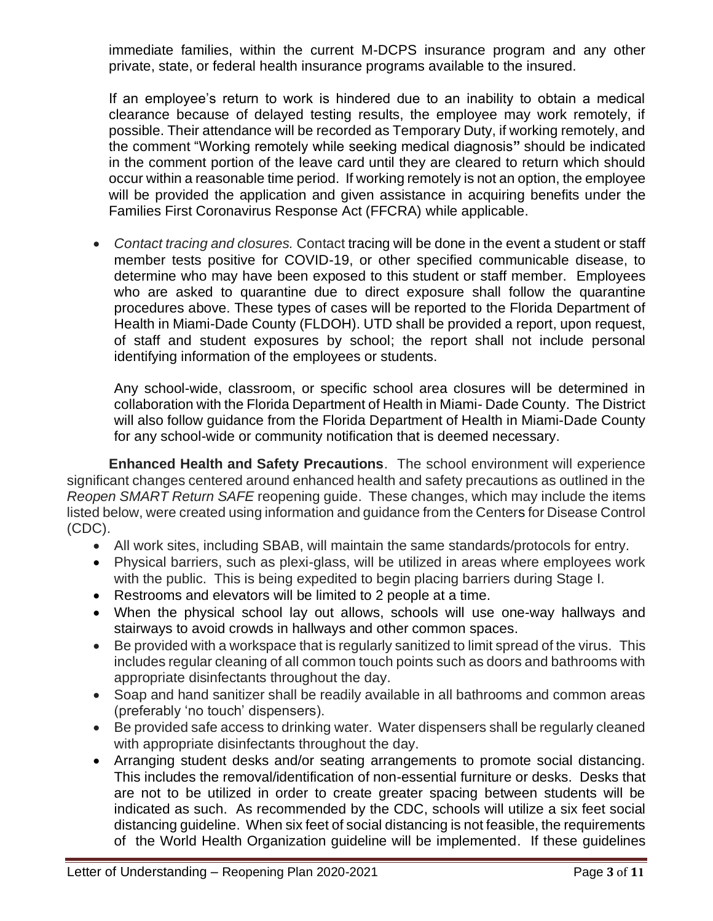immediate families, within the current M-DCPS insurance program and any other private, state, or federal health insurance programs available to the insured.

If an employee's return to work is hindered due to an inability to obtain a medical clearance because of delayed testing results, the employee may work remotely, if possible. Their attendance will be recorded as Temporary Duty, if working remotely, and the comment "Working remotely while seeking medical diagnosis**"** should be indicated in the comment portion of the leave card until they are cleared to return which should occur within a reasonable time period. If working remotely is not an option, the employee will be provided the application and given assistance in acquiring benefits under the Families First Coronavirus Response Act (FFCRA) while applicable.

• *Contact tracing and closures.* Contact tracing will be done in the event a student or staff member tests positive for COVID-19, or other specified communicable disease, to determine who may have been exposed to this student or staff member. Employees who are asked to quarantine due to direct exposure shall follow the quarantine procedures above. These types of cases will be reported to the Florida Department of Health in Miami-Dade County (FLDOH). UTD shall be provided a report, upon request, of staff and student exposures by school; the report shall not include personal identifying information of the employees or students.

Any school-wide, classroom, or specific school area closures will be determined in collaboration with the Florida Department of Health in Miami- Dade County. The District will also follow guidance from the Florida Department of Health in Miami-Dade County for any school-wide or community notification that is deemed necessary.

**Enhanced Health and Safety Precautions**. The school environment will experience significant changes centered around enhanced health and safety precautions as outlined in the *Reopen SMART Return SAFE* reopening guide. These changes, which may include the items listed below, were created using information and guidance from the Centers for Disease Control (CDC).

- All work sites, including SBAB, will maintain the same standards/protocols for entry.
- Physical barriers, such as plexi-glass, will be utilized in areas where employees work with the public. This is being expedited to begin placing barriers during Stage I.
- Restrooms and elevators will be limited to 2 people at a time.
- When the physical school lay out allows, schools will use one-way hallways and stairways to avoid crowds in hallways and other common spaces.
- Be provided with a workspace that is regularly sanitized to limit spread of the virus. This includes regular cleaning of all common touch points such as doors and bathrooms with appropriate disinfectants throughout the day.
- Soap and hand sanitizer shall be readily available in all bathrooms and common areas (preferably 'no touch' dispensers).
- Be provided safe access to drinking water. Water dispensers shall be regularly cleaned with appropriate disinfectants throughout the day.
- Arranging student desks and/or seating arrangements to promote social distancing. This includes the removal/identification of non-essential furniture or desks. Desks that are not to be utilized in order to create greater spacing between students will be indicated as such. As recommended by the CDC, schools will utilize a six feet social distancing guideline. When six feet of social distancing is not feasible, the requirements of the World Health Organization guideline will be implemented. If these guidelines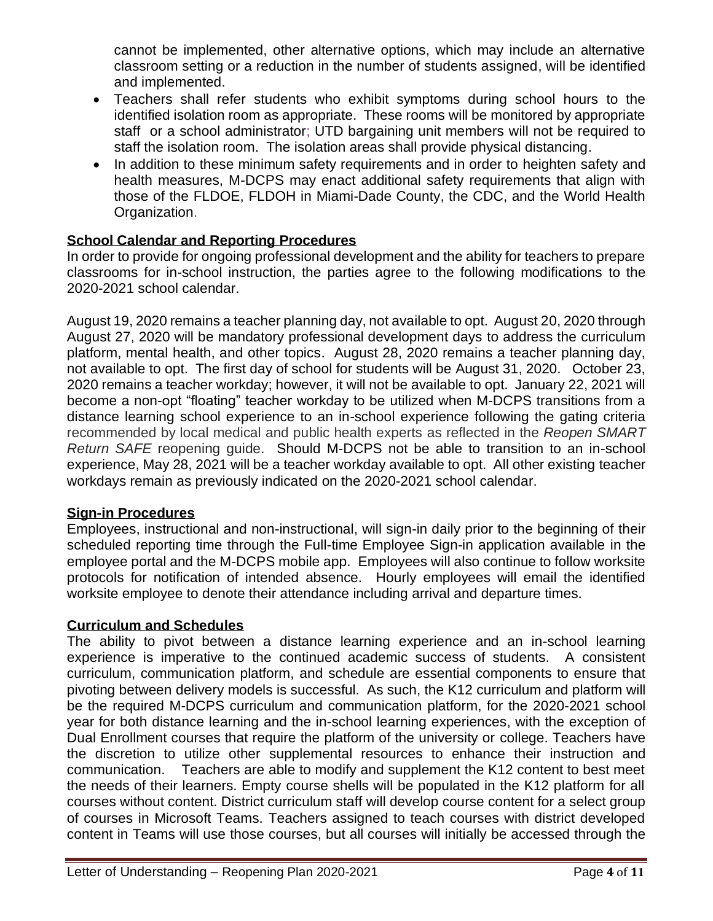cannot be implemented, other alternative options, which may include an alternative classroom setting or a reduction in the number of students assigned, will be identified and implemented.

- Teachers shall refer students who exhibit symptoms during school hours to the identified isolation room as appropriate. These rooms will be monitored by appropriate staff or a school administrator; UTD bargaining unit members will not be required to staff the isolation room. The isolation areas shall provide physical distancing.
- In addition to these minimum safety requirements and in order to heighten safety and health measures, M-DCPS may enact additional safety requirements that align with those of the FLDOE, FLDOH in Miami-Dade County, the CDC, and the World Health Organization.

# **School Calendar and Reporting Procedures**

In order to provide for ongoing professional development and the ability for teachers to prepare classrooms for in-school instruction, the parties agree to the following modifications to the 2020-2021 school calendar.

August 19, 2020 remains a teacher planning day, not available to opt. August 20, 2020 through August 27, 2020 will be mandatory professional development days to address the curriculum platform, mental health, and other topics. August 28, 2020 remains a teacher planning day, not available to opt. The first day of school for students will be August 31, 2020. October 23, 2020 remains a teacher workday; however, it will not be available to opt. January 22, 2021 will become a non-opt "floating" teacher workday to be utilized when M-DCPS transitions from a distance learning school experience to an in-school experience following the gating criteria recommended by local medical and public health experts as reflected in the *Reopen SMART Return SAFE* reopening guide. Should M-DCPS not be able to transition to an in-school experience, May 28, 2021 will be a teacher workday available to opt. All other existing teacher workdays remain as previously indicated on the 2020-2021 school calendar.

### **Sign-in Procedures**

Employees, instructional and non-instructional, will sign-in daily prior to the beginning of their scheduled reporting time through the Full-time Employee Sign-in application available in the employee portal and the M-DCPS mobile app. Employees will also continue to follow worksite protocols for notification of intended absence. Hourly employees will email the identified worksite employee to denote their attendance including arrival and departure times.

#### **Curriculum and Schedules**

The ability to pivot between a distance learning experience and an in-school learning experience is imperative to the continued academic success of students. A consistent curriculum, communication platform, and schedule are essential components to ensure that pivoting between delivery models is successful. As such, the K12 curriculum and platform will be the required M-DCPS curriculum and communication platform, for the 2020-2021 school year for both distance learning and the in-school learning experiences, with the exception of Dual Enrollment courses that require the platform of the university or college. Teachers have the discretion to utilize other supplemental resources to enhance their instruction and communication. Teachers are able to modify and supplement the K12 content to best meet the needs of their learners. Empty course shells will be populated in the K12 platform for all courses without content. District curriculum staff will develop course content for a select group of courses in Microsoft Teams. Teachers assigned to teach courses with district developed content in Teams will use those courses, but all courses will initially be accessed through the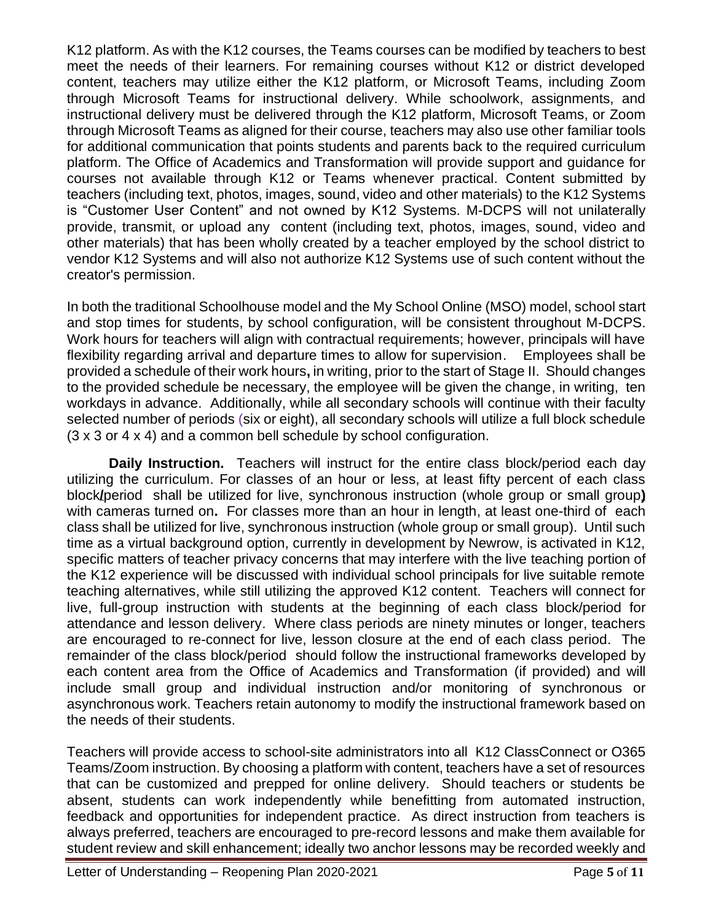K12 platform. As with the K12 courses, the Teams courses can be modified by teachers to best meet the needs of their learners. For remaining courses without K12 or district developed content, teachers may utilize either the K12 platform, or Microsoft Teams, including Zoom through Microsoft Teams for instructional delivery. While schoolwork, assignments, and instructional delivery must be delivered through the K12 platform, Microsoft Teams, or Zoom through Microsoft Teams as aligned for their course, teachers may also use other familiar tools for additional communication that points students and parents back to the required curriculum platform. The Office of Academics and Transformation will provide support and guidance for courses not available through K12 or Teams whenever practical. Content submitted by teachers (including text, photos, images, sound, video and other materials) to the K12 Systems is "Customer User Content" and not owned by K12 Systems. M-DCPS will not unilaterally provide, transmit, or upload any content (including text, photos, images, sound, video and other materials) that has been wholly created by a teacher employed by the school district to vendor K12 Systems and will also not authorize K12 Systems use of such content without the creator's permission.

In both the traditional Schoolhouse model and the My School Online (MSO) model, school start and stop times for students, by school configuration, will be consistent throughout M-DCPS. Work hours for teachers will align with contractual requirements; however, principals will have flexibility regarding arrival and departure times to allow for supervision. Employees shall be provided a schedule of their work hours**,** in writing, prior to the start of Stage II. Should changes to the provided schedule be necessary, the employee will be given the change, in writing, ten workdays in advance. Additionally, while all secondary schools will continue with their faculty selected number of periods (six or eight), all secondary schools will utilize a full block schedule (3 x 3 or 4 x 4) and a common bell schedule by school configuration.

**Daily Instruction.** Teachers will instruct for the entire class block/period each day utilizing the curriculum. For classes of an hour or less, at least fifty percent of each class block**/**period shall be utilized for live, synchronous instruction (whole group or small group**)** with cameras turned on**.** For classes more than an hour in length, at least one-third of each class shall be utilized for live, synchronous instruction (whole group or small group). Until such time as a virtual background option, currently in development by Newrow, is activated in K12, specific matters of teacher privacy concerns that may interfere with the live teaching portion of the K12 experience will be discussed with individual school principals for live suitable remote teaching alternatives, while still utilizing the approved K12 content. Teachers will connect for live, full-group instruction with students at the beginning of each class block/period for attendance and lesson delivery. Where class periods are ninety minutes or longer, teachers are encouraged to re-connect for live, lesson closure at the end of each class period. The remainder of the class block/period should follow the instructional frameworks developed by each content area from the Office of Academics and Transformation (if provided) and will include small group and individual instruction and/or monitoring of synchronous or asynchronous work. Teachers retain autonomy to modify the instructional framework based on the needs of their students.

Teachers will provide access to school-site administrators into all K12 ClassConnect or O365 Teams/Zoom instruction. By choosing a platform with content, teachers have a set of resources that can be customized and prepped for online delivery. Should teachers or students be absent, students can work independently while benefitting from automated instruction, feedback and opportunities for independent practice. As direct instruction from teachers is always preferred, teachers are encouraged to pre-record lessons and make them available for student review and skill enhancement; ideally two anchor lessons may be recorded weekly and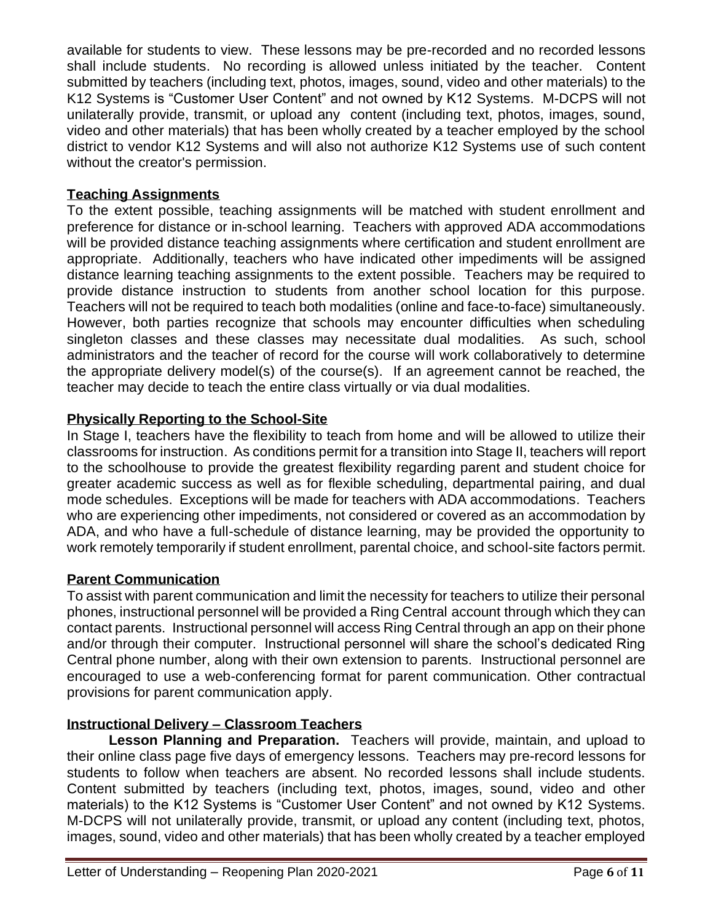available for students to view. These lessons may be pre-recorded and no recorded lessons shall include students. No recording is allowed unless initiated by the teacher. Content submitted by teachers (including text, photos, images, sound, video and other materials) to the K12 Systems is "Customer User Content" and not owned by K12 Systems. M-DCPS will not unilaterally provide, transmit, or upload any content (including text, photos, images, sound, video and other materials) that has been wholly created by a teacher employed by the school district to vendor K12 Systems and will also not authorize K12 Systems use of such content without the creator's permission.

### **Teaching Assignments**

To the extent possible, teaching assignments will be matched with student enrollment and preference for distance or in-school learning. Teachers with approved ADA accommodations will be provided distance teaching assignments where certification and student enrollment are appropriate. Additionally, teachers who have indicated other impediments will be assigned distance learning teaching assignments to the extent possible. Teachers may be required to provide distance instruction to students from another school location for this purpose. Teachers will not be required to teach both modalities (online and face-to-face) simultaneously. However, both parties recognize that schools may encounter difficulties when scheduling singleton classes and these classes may necessitate dual modalities. As such, school administrators and the teacher of record for the course will work collaboratively to determine the appropriate delivery model(s) of the course(s). If an agreement cannot be reached, the teacher may decide to teach the entire class virtually or via dual modalities.

# **Physically Reporting to the School-Site**

In Stage I, teachers have the flexibility to teach from home and will be allowed to utilize their classrooms for instruction. As conditions permit for a transition into Stage II, teachers will report to the schoolhouse to provide the greatest flexibility regarding parent and student choice for greater academic success as well as for flexible scheduling, departmental pairing, and dual mode schedules. Exceptions will be made for teachers with ADA accommodations. Teachers who are experiencing other impediments, not considered or covered as an accommodation by ADA, and who have a full-schedule of distance learning, may be provided the opportunity to work remotely temporarily if student enrollment, parental choice, and school-site factors permit.

### **Parent Communication**

To assist with parent communication and limit the necessity for teachers to utilize their personal phones, instructional personnel will be provided a Ring Central account through which they can contact parents. Instructional personnel will access Ring Central through an app on their phone and/or through their computer. Instructional personnel will share the school's dedicated Ring Central phone number, along with their own extension to parents. Instructional personnel are encouraged to use a web-conferencing format for parent communication. Other contractual provisions for parent communication apply.

# **Instructional Delivery – Classroom Teachers**

**Lesson Planning and Preparation.** Teachers will provide, maintain, and upload to their online class page five days of emergency lessons. Teachers may pre-record lessons for students to follow when teachers are absent. No recorded lessons shall include students. Content submitted by teachers (including text, photos, images, sound, video and other materials) to the K12 Systems is "Customer User Content" and not owned by K12 Systems. M-DCPS will not unilaterally provide, transmit, or upload any content (including text, photos, images, sound, video and other materials) that has been wholly created by a teacher employed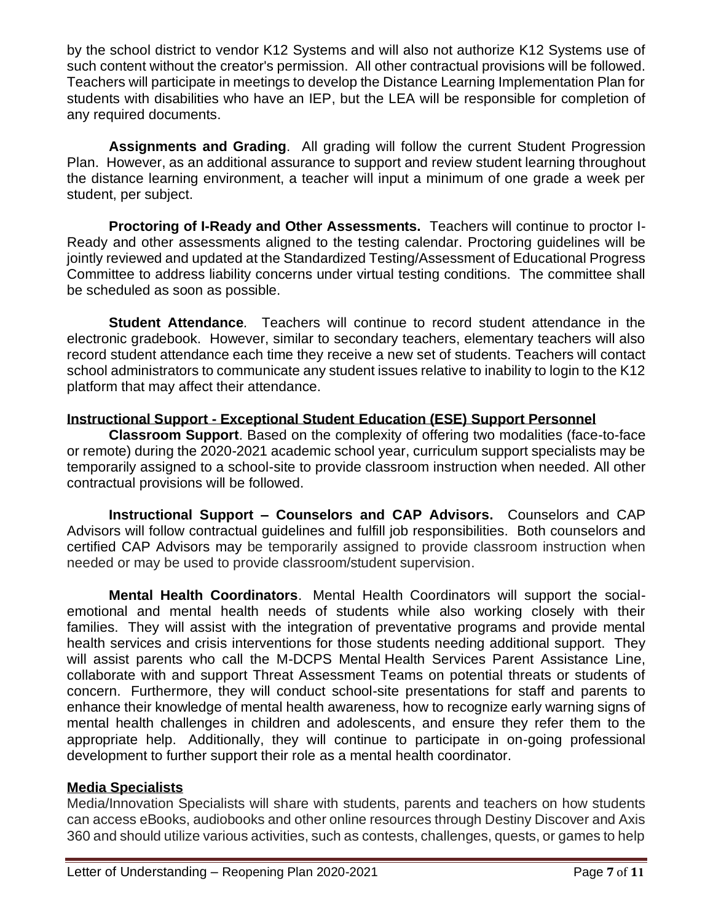by the school district to vendor K12 Systems and will also not authorize K12 Systems use of such content without the creator's permission. All other contractual provisions will be followed. Teachers will participate in meetings to develop the Distance Learning Implementation Plan for students with disabilities who have an IEP, but the LEA will be responsible for completion of any required documents.

**Assignments and Grading**. All grading will follow the current Student Progression Plan. However, as an additional assurance to support and review student learning throughout the distance learning environment, a teacher will input a minimum of one grade a week per student, per subject.

**Proctoring of I-Ready and Other Assessments.** Teachers will continue to proctor I-Ready and other assessments aligned to the testing calendar. Proctoring guidelines will be jointly reviewed and updated at the Standardized Testing/Assessment of Educational Progress Committee to address liability concerns under virtual testing conditions. The committee shall be scheduled as soon as possible.

**Student Attendance***.* Teachers will continue to record student attendance in the electronic gradebook. However, similar to secondary teachers, elementary teachers will also record student attendance each time they receive a new set of students. Teachers will contact school administrators to communicate any student issues relative to inability to login to the K12 platform that may affect their attendance.

# **Instructional Support - Exceptional Student Education (ESE) Support Personnel**

**Classroom Support**. Based on the complexity of offering two modalities (face-to-face or remote) during the 2020-2021 academic school year, curriculum support specialists may be temporarily assigned to a school-site to provide classroom instruction when needed. All other contractual provisions will be followed.

**Instructional Support – Counselors and CAP Advisors.** Counselors and CAP Advisors will follow contractual guidelines and fulfill job responsibilities. Both counselors and certified CAP Advisors may be temporarily assigned to provide classroom instruction when needed or may be used to provide classroom/student supervision.

**Mental Health Coordinators**. Mental Health Coordinators will support the socialemotional and mental health needs of students while also working closely with their families. They will assist with the integration of preventative programs and provide mental health services and crisis interventions for those students needing additional support. They will assist parents who call the M-DCPS Mental Health Services Parent Assistance Line, collaborate with and support Threat Assessment Teams on potential threats or students of concern. Furthermore, they will conduct school-site presentations for staff and parents to enhance their knowledge of mental health awareness, how to recognize early warning signs of mental health challenges in children and adolescents, and ensure they refer them to the appropriate help. Additionally, they will continue to participate in on-going professional development to further support their role as a mental health coordinator.

### **Media Specialists**

Media/Innovation Specialists will share with students, parents and teachers on how students can access eBooks, audiobooks and other online resources through Destiny Discover and Axis 360 and should utilize various activities, such as contests, challenges, quests, or games to help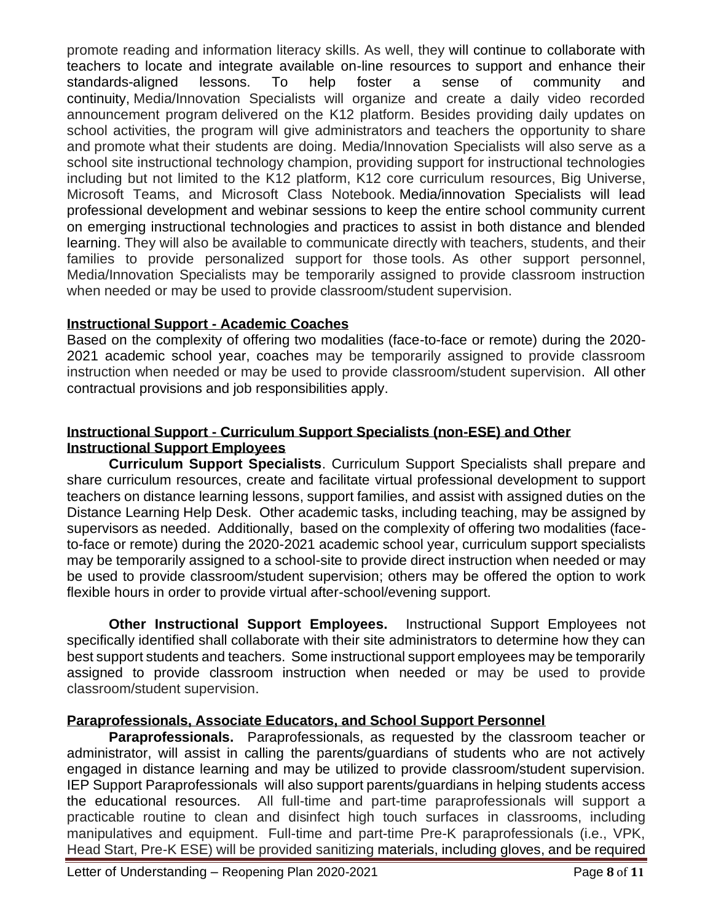promote reading and information literacy skills. As well, they will continue to collaborate with teachers to locate and integrate available on-line resources to support and enhance their standards-aligned lessons. To help foster a sense of community and continuity, Media/Innovation Specialists will organize and create a daily video recorded announcement program delivered on the K12 platform. Besides providing daily updates on school activities, the program will give administrators and teachers the opportunity to share and promote what their students are doing. Media/Innovation Specialists will also serve as a school site instructional technology champion, providing support for instructional technologies including but not limited to the K12 platform, K12 core curriculum resources, Big Universe, Microsoft Teams, and Microsoft Class Notebook. Media/innovation Specialists will lead professional development and webinar sessions to keep the entire school community current on emerging instructional technologies and practices to assist in both distance and blended learning. They will also be available to communicate directly with teachers, students, and their families to provide personalized support for those tools. As other support personnel, Media/Innovation Specialists may be temporarily assigned to provide classroom instruction when needed or may be used to provide classroom/student supervision.

# **Instructional Support - Academic Coaches**

Based on the complexity of offering two modalities (face-to-face or remote) during the 2020- 2021 academic school year, coaches may be temporarily assigned to provide classroom instruction when needed or may be used to provide classroom/student supervision. All other contractual provisions and job responsibilities apply.

### **Instructional Support - Curriculum Support Specialists (non-ESE) and Other Instructional Support Employees**

**Curriculum Support Specialists**. Curriculum Support Specialists shall prepare and share curriculum resources, create and facilitate virtual professional development to support teachers on distance learning lessons, support families, and assist with assigned duties on the Distance Learning Help Desk. Other academic tasks, including teaching, may be assigned by supervisors as needed. Additionally, based on the complexity of offering two modalities (faceto-face or remote) during the 2020-2021 academic school year, curriculum support specialists may be temporarily assigned to a school-site to provide direct instruction when needed or may be used to provide classroom/student supervision; others may be offered the option to work flexible hours in order to provide virtual after-school/evening support.

**Other Instructional Support Employees.** Instructional Support Employees not specifically identified shall collaborate with their site administrators to determine how they can best support students and teachers. Some instructional support employees may be temporarily assigned to provide classroom instruction when needed or may be used to provide classroom/student supervision.

# **Paraprofessionals, Associate Educators, and School Support Personnel**

**Paraprofessionals.** Paraprofessionals, as requested by the classroom teacher or administrator, will assist in calling the parents/guardians of students who are not actively engaged in distance learning and may be utilized to provide classroom/student supervision. IEP Support Paraprofessionals will also support parents/guardians in helping students access the educational resources. All full-time and part-time paraprofessionals will support a practicable routine to clean and disinfect high touch surfaces in classrooms, including manipulatives and equipment. Full-time and part-time Pre-K paraprofessionals (i.e., VPK, Head Start, Pre-K ESE) will be provided sanitizing materials, including gloves, and be required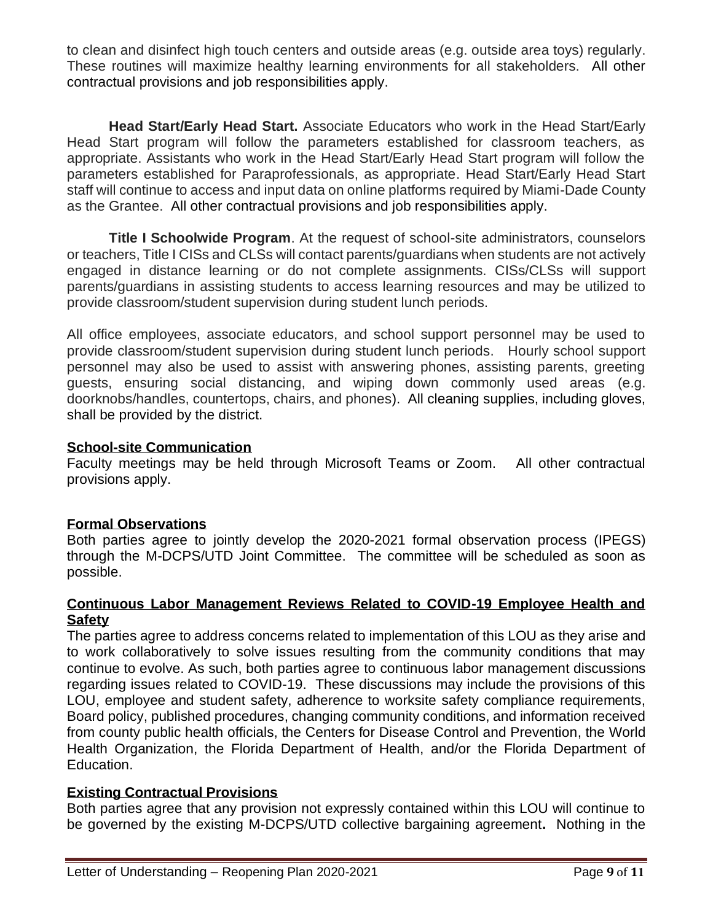to clean and disinfect high touch centers and outside areas (e.g. outside area toys) regularly. These routines will maximize healthy learning environments for all stakeholders. All other contractual provisions and job responsibilities apply.

**Head Start/Early Head Start.** Associate Educators who work in the Head Start/Early Head Start program will follow the parameters established for classroom teachers, as appropriate. Assistants who work in the Head Start/Early Head Start program will follow the parameters established for Paraprofessionals, as appropriate. Head Start/Early Head Start staff will continue to access and input data on online platforms required by Miami-Dade County as the Grantee. All other contractual provisions and job responsibilities apply.

**Title I Schoolwide Program**. At the request of school-site administrators, counselors or teachers, Title I CISs and CLSs will contact parents/guardians when students are not actively engaged in distance learning or do not complete assignments. CISs/CLSs will support parents/guardians in assisting students to access learning resources and may be utilized to provide classroom/student supervision during student lunch periods.

All office employees, associate educators, and school support personnel may be used to provide classroom/student supervision during student lunch periods. Hourly school support personnel may also be used to assist with answering phones, assisting parents, greeting guests, ensuring social distancing, and wiping down commonly used areas (e.g. doorknobs/handles, countertops, chairs, and phones). All cleaning supplies, including gloves, shall be provided by the district.

### **School-site Communication**

Faculty meetings may be held through Microsoft Teams or Zoom. All other contractual provisions apply.

# **Formal Observations**

Both parties agree to jointly develop the 2020-2021 formal observation process (IPEGS) through the M-DCPS/UTD Joint Committee. The committee will be scheduled as soon as possible.

### **Continuous Labor Management Reviews Related to COVID-19 Employee Health and Safety**

The parties agree to address concerns related to implementation of this LOU as they arise and to work collaboratively to solve issues resulting from the community conditions that may continue to evolve. As such, both parties agree to continuous labor management discussions regarding issues related to COVID-19. These discussions may include the provisions of this LOU, employee and student safety, adherence to worksite safety compliance requirements, Board policy, published procedures, changing community conditions, and information received from county public health officials, the Centers for Disease Control and Prevention, the World Health Organization, the Florida Department of Health, and/or the Florida Department of Education.

# **Existing Contractual Provisions**

Both parties agree that any provision not expressly contained within this LOU will continue to be governed by the existing M-DCPS/UTD collective bargaining agreement**.** Nothing in the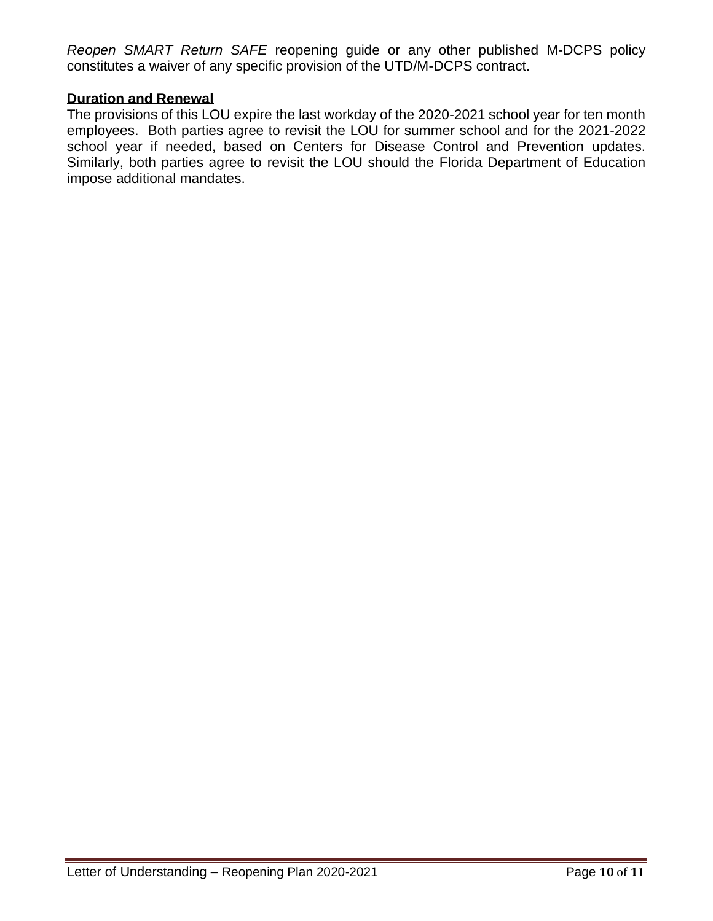*Reopen SMART Return SAFE* reopening guide or any other published M-DCPS policy constitutes a waiver of any specific provision of the UTD/M-DCPS contract.

### **Duration and Renewal**

The provisions of this LOU expire the last workday of the 2020-2021 school year for ten month employees. Both parties agree to revisit the LOU for summer school and for the 2021-2022 school year if needed, based on Centers for Disease Control and Prevention updates. Similarly, both parties agree to revisit the LOU should the Florida Department of Education impose additional mandates.